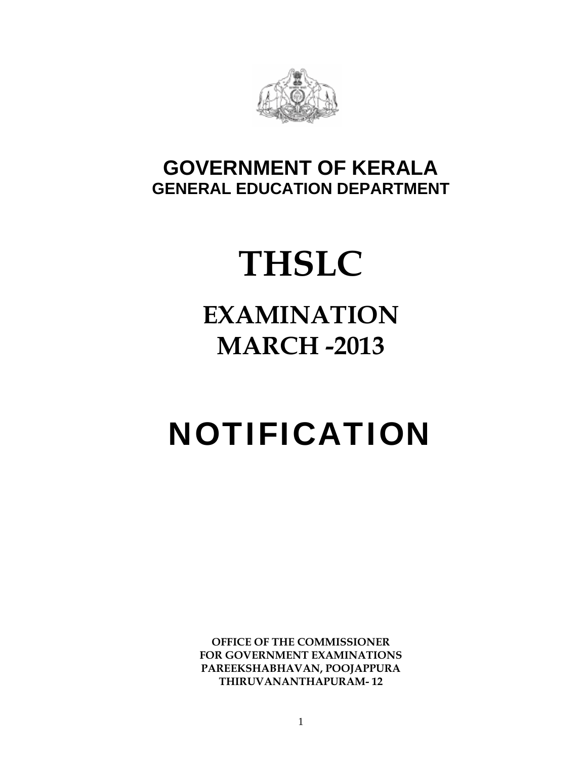

## **GOVERNMENT OF KERALA GENERAL EDUCATION DEPARTMENT**

## **THSLC**

## **EXAMINATION MARCH -2013**

# NOTIFICATION

**OFFICE OF THE COMMISSIONER FOR GOVERNMENT EXAMINATIONS PAREEKSHABHAVAN, POOJAPPURA THIRUVANANTHAPURAM- 12**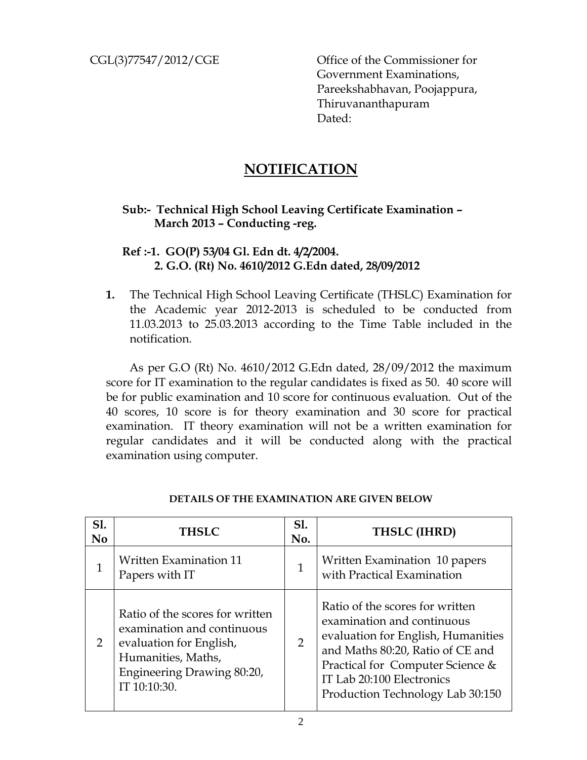CGL(3)77547/2012/CGE Office of the Commissioner for Government Examinations, Pareekshabhavan, Poojappura, Thiruvananthapuram Dated:

## **NOTIFICATION**

### **Sub:- Technical High School Leaving Certificate Examination – March 2013 – Conducting -reg.**

#### **Ref :-1. GO(P) 53/04 Gl. Edn dt. 4/2/2004. 2. G.O. (Rt) No. 4610/2012 G.Edn dated, 28/09/2012**

**1.** The Technical High School Leaving Certificate (THSLC) Examination for the Academic year 2012-2013 is scheduled to be conducted from 11.03.2013 to 25.03.2013 according to the Time Table included in the notification.

 As per G.O (Rt) No. 4610/2012 G.Edn dated, 28/09/2012 the maximum score for IT examination to the regular candidates is fixed as 50. 40 score will be for public examination and 10 score for continuous evaluation. Out of the 40 scores, 10 score is for theory examination and 30 score for practical examination. IT theory examination will not be a written examination for regular candidates and it will be conducted along with the practical examination using computer.

| <b>S1.</b><br>N <sub>0</sub> | <b>THSLC</b>                                                                                                                                                 | <b>S1.</b><br>No. | THSLC (IHRD)                                                                                                                                                                                                                                 |
|------------------------------|--------------------------------------------------------------------------------------------------------------------------------------------------------------|-------------------|----------------------------------------------------------------------------------------------------------------------------------------------------------------------------------------------------------------------------------------------|
|                              | <b>Written Examination 11</b><br>Papers with IT                                                                                                              | $\mathbf{1}$      | Written Examination 10 papers<br>with Practical Examination                                                                                                                                                                                  |
| 2                            | Ratio of the scores for written<br>examination and continuous<br>evaluation for English,<br>Humanities, Maths,<br>Engineering Drawing 80:20,<br>IT 10:10:30. | $\overline{2}$    | Ratio of the scores for written<br>examination and continuous<br>evaluation for English, Humanities<br>and Maths 80:20, Ratio of CE and<br>Practical for Computer Science &<br>IT Lab 20:100 Electronics<br>Production Technology Lab 30:150 |

#### **DETAILS OF THE EXAMINATION ARE GIVEN BELOW**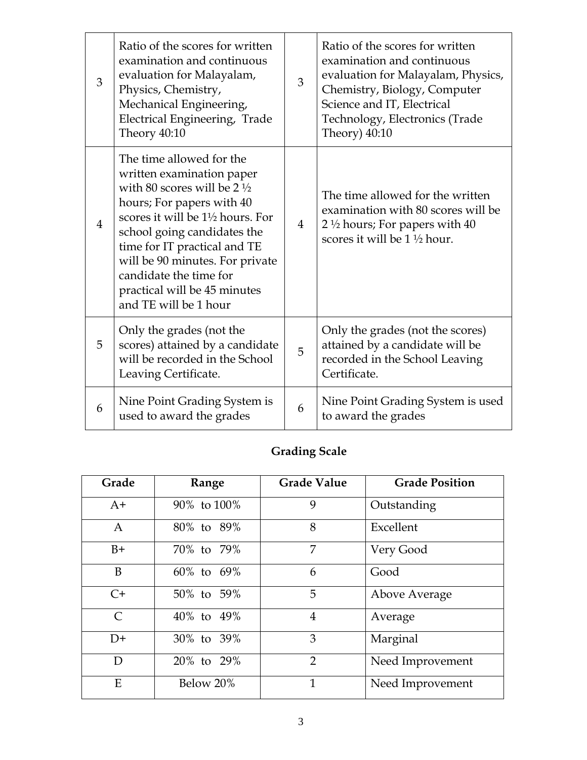| 3              | Ratio of the scores for written<br>examination and continuous<br>evaluation for Malayalam,<br>Physics, Chemistry,<br>Mechanical Engineering,<br>Electrical Engineering, Trade<br>Theory 40:10                                                                                                                                                                   | 3              | Ratio of the scores for written<br>examination and continuous<br>evaluation for Malayalam, Physics,<br>Chemistry, Biology, Computer<br>Science and IT, Electrical<br>Technology, Electronics (Trade<br>Theory) $40:10$ |
|----------------|-----------------------------------------------------------------------------------------------------------------------------------------------------------------------------------------------------------------------------------------------------------------------------------------------------------------------------------------------------------------|----------------|------------------------------------------------------------------------------------------------------------------------------------------------------------------------------------------------------------------------|
| $\overline{4}$ | The time allowed for the<br>written examination paper<br>with 80 scores will be $2\frac{1}{2}$<br>hours; For papers with 40<br>scores it will be $1\frac{1}{2}$ hours. For<br>school going candidates the<br>time for IT practical and TE<br>will be 90 minutes. For private<br>candidate the time for<br>practical will be 45 minutes<br>and TE will be 1 hour | $\overline{4}$ | The time allowed for the written<br>examination with 80 scores will be<br>2 $\frac{1}{2}$ hours; For papers with 40<br>scores it will be $1\frac{1}{2}$ hour.                                                          |
| 5              | Only the grades (not the<br>scores) attained by a candidate<br>will be recorded in the School<br>Leaving Certificate.                                                                                                                                                                                                                                           | 5              | Only the grades (not the scores)<br>attained by a candidate will be<br>recorded in the School Leaving<br>Certificate.                                                                                                  |
| 6              | Nine Point Grading System is<br>used to award the grades                                                                                                                                                                                                                                                                                                        | 6              | Nine Point Grading System is used<br>to award the grades                                                                                                                                                               |

## **Grading Scale**

| Grade         | Range       | <b>Grade Value</b> | <b>Grade Position</b> |
|---------------|-------------|--------------------|-----------------------|
| $A+$          | 90% to 100% | 9                  | Outstanding           |
| $\mathbf{A}$  | 80% to 89%  | 8                  | Excellent             |
| $B+$          | 70% to 79%  | 7                  | Very Good             |
| B             | 60% to 69%  | 6                  | Good                  |
| $C+$          | 50% to 59%  | 5                  | Above Average         |
| $\mathcal{C}$ | 40% to 49%  | $\overline{4}$     | Average               |
| $D+$          | 30% to 39%  | 3                  | Marginal              |
| D             | 20% to 29%  | $\overline{2}$     | Need Improvement      |
| E             | Below 20%   | $\mathbf{1}$       | Need Improvement      |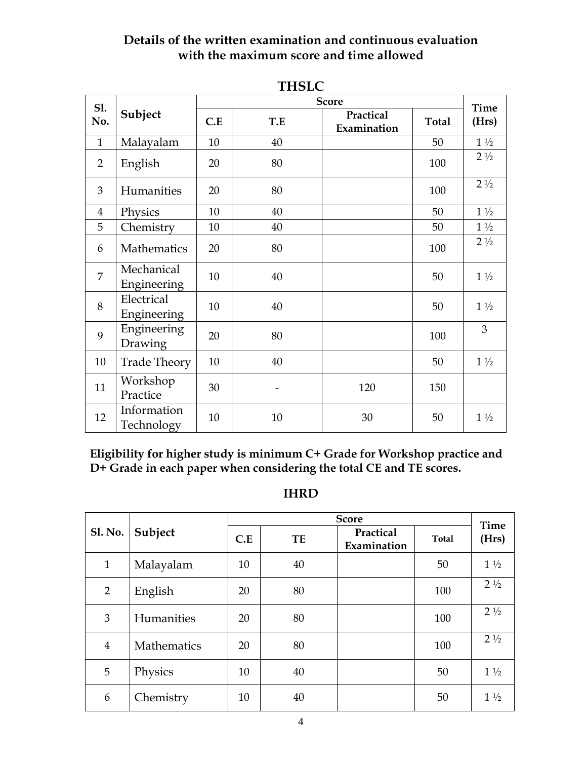## **Details of the written examination and continuous evaluation with the maximum score and time allowed**

| TUOLC          |                           |     |     |                          |              |                |  |
|----------------|---------------------------|-----|-----|--------------------------|--------------|----------------|--|
| <b>S1.</b>     |                           |     |     | <b>Score</b>             |              | <b>Time</b>    |  |
| No.            | Subject                   | C.E | T.E | Practical<br>Examination | <b>Total</b> | (Hrs)          |  |
| $\mathbf{1}$   | Malayalam                 | 10  | 40  |                          | 50           | $1\frac{1}{2}$ |  |
| $\overline{2}$ | English                   | 20  | 80  |                          | 100          | $2\frac{1}{2}$ |  |
| 3              | Humanities                | 20  | 80  |                          | 100          | $2\frac{1}{2}$ |  |
| $\overline{4}$ | Physics                   | 10  | 40  |                          | 50           | $1\frac{1}{2}$ |  |
| 5              | Chemistry                 | 10  | 40  |                          | 50           | $1\frac{1}{2}$ |  |
| 6              | Mathematics               | 20  | 80  |                          | 100          | $2\frac{1}{2}$ |  |
| $\overline{7}$ | Mechanical<br>Engineering | 10  | 40  |                          | 50           | $1\frac{1}{2}$ |  |
| 8              | Electrical<br>Engineering | 10  | 40  |                          | 50           | $1\frac{1}{2}$ |  |
| 9              | Engineering<br>Drawing    | 20  | 80  |                          | 100          | 3              |  |
| 10             | <b>Trade Theory</b>       | 10  | 40  |                          | 50           | $1\frac{1}{2}$ |  |
| 11             | Workshop<br>Practice      | 30  |     | 120                      | 150          |                |  |
| 12             | Information<br>Technology | 10  | 10  | 30                       | 50           | $1\frac{1}{2}$ |  |

**THSLC** 

**Eligibility for higher study is minimum C+ Grade for Workshop practice and D+ Grade in each paper when considering the total CE and TE scores.** 

### **IHRD**

|                |             | <b>Score</b> |    |                          |              |                      |
|----------------|-------------|--------------|----|--------------------------|--------------|----------------------|
| <b>Sl. No.</b> | Subject     | C.E          | TE | Practical<br>Examination | <b>Total</b> | <b>Time</b><br>(Hrs) |
| $\mathbf{1}$   | Malayalam   | 10           | 40 |                          | 50           | $1\frac{1}{2}$       |
| $\overline{2}$ | English     | 20           | 80 |                          | 100          | $2\frac{1}{2}$       |
| 3              | Humanities  | 20           | 80 |                          | 100          | $2\frac{1}{2}$       |
| $\overline{4}$ | Mathematics | 20           | 80 |                          | 100          | $2\frac{1}{2}$       |
| 5              | Physics     | 10           | 40 |                          | 50           | $1\frac{1}{2}$       |
| 6              | Chemistry   | 10           | 40 |                          | 50           | $1\frac{1}{2}$       |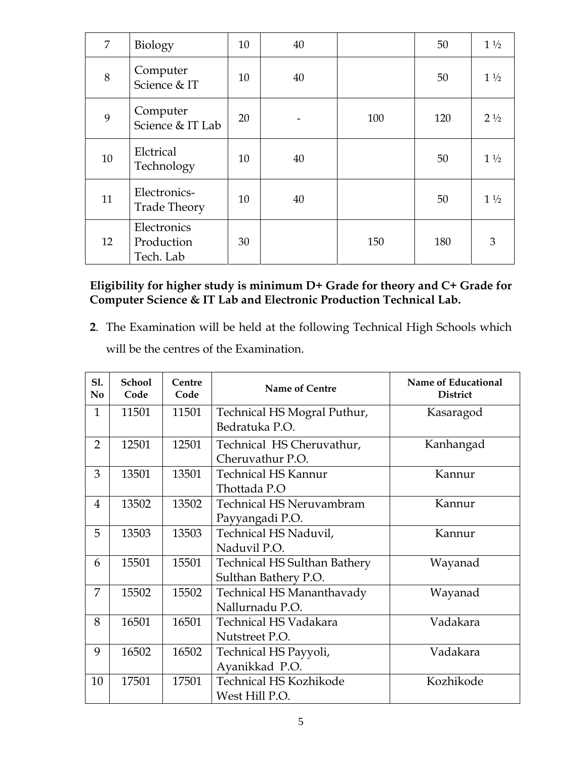| 7  | Biology                                | 10 | 40 |     | 50  | $1\frac{1}{2}$ |
|----|----------------------------------------|----|----|-----|-----|----------------|
| 8  | Computer<br>Science & IT               | 10 | 40 |     | 50  | $1\frac{1}{2}$ |
| 9  | Computer<br>Science & IT Lab           | 20 |    | 100 | 120 | $2\frac{1}{2}$ |
| 10 | Elctrical<br>Technology                | 10 | 40 |     | 50  | $1\frac{1}{2}$ |
| 11 | Electronics-<br><b>Trade Theory</b>    | 10 | 40 |     | 50  | $1\frac{1}{2}$ |
| 12 | Electronics<br>Production<br>Tech. Lab | 30 |    | 150 | 180 | 3              |

## **Eligibility for higher study is minimum D+ Grade for theory and C+ Grade for Computer Science & IT Lab and Electronic Production Technical Lab.**

**2**. The Examination will be held at the following Technical High Schools which will be the centres of the Examination.

| S1.<br>N <sub>0</sub> | <b>School</b><br>Code | Centre<br>Code | Name of Centre                                       | Name of Educational<br><b>District</b> |
|-----------------------|-----------------------|----------------|------------------------------------------------------|----------------------------------------|
| $\mathbf{1}$          | 11501                 | 11501          | Technical HS Mogral Puthur,<br>Bedratuka P.O.        | Kasaragod                              |
| $\overline{2}$        | 12501                 | 12501          | Technical HS Cheruvathur,<br>Cheruvathur P.O.        | Kanhangad                              |
| 3                     | 13501                 | 13501          | <b>Technical HS Kannur</b><br>Thottada P.O           | Kannur                                 |
| 4                     | 13502                 | 13502          | <b>Technical HS Neruvambram</b><br>Payyangadi P.O.   | Kannur                                 |
| 5                     | 13503                 | 13503          | Technical HS Naduvil,<br>Naduvil P.O.                | Kannur                                 |
| 6                     | 15501                 | 15501          | Technical HS Sulthan Bathery<br>Sulthan Bathery P.O. | Wayanad                                |
| 7                     | 15502                 | 15502          | Technical HS Mananthavady<br>Nallurnadu P.O.         | Wayanad                                |
| 8                     | 16501                 | 16501          | <b>Technical HS Vadakara</b><br>Nutstreet P.O.       | Vadakara                               |
| 9                     | 16502                 | 16502          | Technical HS Payyoli,<br>Ayanikkad P.O.              | Vadakara                               |
| 10                    | 17501                 | 17501          | <b>Technical HS Kozhikode</b><br>West Hill P.O.      | Kozhikode                              |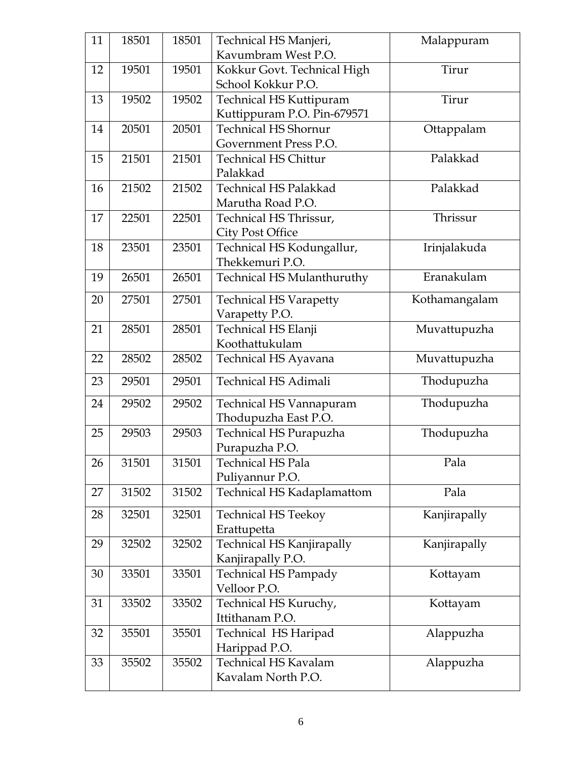| 11 | 18501 | 18501 | Technical HS Manjeri,<br>Kavumbram West P.O. | Malappuram    |
|----|-------|-------|----------------------------------------------|---------------|
| 12 | 19501 | 19501 | Kokkur Govt. Technical High                  | Tirur         |
|    |       |       | School Kokkur P.O.                           |               |
| 13 | 19502 | 19502 | Technical HS Kuttipuram                      | Tirur         |
|    |       |       | Kuttippuram P.O. Pin-679571                  |               |
| 14 | 20501 | 20501 | <b>Technical HS Shornur</b>                  | Ottappalam    |
|    |       |       | Government Press P.O.                        |               |
| 15 | 21501 | 21501 | <b>Technical HS Chittur</b>                  | Palakkad      |
|    |       |       | Palakkad                                     |               |
| 16 | 21502 | 21502 | <b>Technical HS Palakkad</b>                 | Palakkad      |
|    |       |       | Marutha Road P.O.                            |               |
| 17 | 22501 | 22501 | Technical HS Thrissur,                       | Thrissur      |
|    |       |       | <b>City Post Office</b>                      |               |
| 18 | 23501 | 23501 | Technical HS Kodungallur,                    | Irinjalakuda  |
|    |       |       | Thekkemuri P.O.                              |               |
| 19 | 26501 | 26501 | <b>Technical HS Mulanthuruthy</b>            | Eranakulam    |
| 20 | 27501 | 27501 | <b>Technical HS Varapetty</b>                | Kothamangalam |
|    |       |       | Varapetty P.O.                               |               |
| 21 | 28501 | 28501 | Technical HS Elanji                          | Muvattupuzha  |
|    |       |       | Koothattukulam                               |               |
| 22 | 28502 | 28502 | Technical HS Ayavana                         | Muvattupuzha  |
| 23 | 29501 | 29501 | <b>Technical HS Adimali</b>                  | Thodupuzha    |
| 24 | 29502 | 29502 | Technical HS Vannapuram                      | Thodupuzha    |
|    |       |       | Thodupuzha East P.O.                         |               |
| 25 | 29503 | 29503 | Technical HS Purapuzha                       | Thodupuzha    |
|    |       |       | Purapuzha P.O.                               |               |
| 26 | 31501 | 31501 | <b>Technical HS Pala</b>                     | Pala          |
|    |       |       | Puliyannur P.O.                              |               |
| 27 | 31502 | 31502 | Technical HS Kadaplamattom                   | Pala          |
| 28 | 32501 | 32501 | <b>Technical HS Teekoy</b>                   | Kanjirapally  |
|    |       |       | Erattupetta                                  |               |
| 29 | 32502 | 32502 | <b>Technical HS Kanjirapally</b>             | Kanjirapally  |
|    |       |       | Kanjirapally P.O.                            |               |
| 30 | 33501 | 33501 | <b>Technical HS Pampady</b>                  | Kottayam      |
|    |       |       | Velloor P.O.                                 |               |
| 31 | 33502 | 33502 | Technical HS Kuruchy,                        | Kottayam      |
|    |       |       | Ittithanam P.O.                              |               |
| 32 | 35501 | 35501 | Technical HS Haripad                         | Alappuzha     |
|    |       |       | Harippad P.O.                                |               |
| 33 | 35502 | 35502 | <b>Technical HS Kavalam</b>                  | Alappuzha     |
|    |       |       | Kavalam North P.O.                           |               |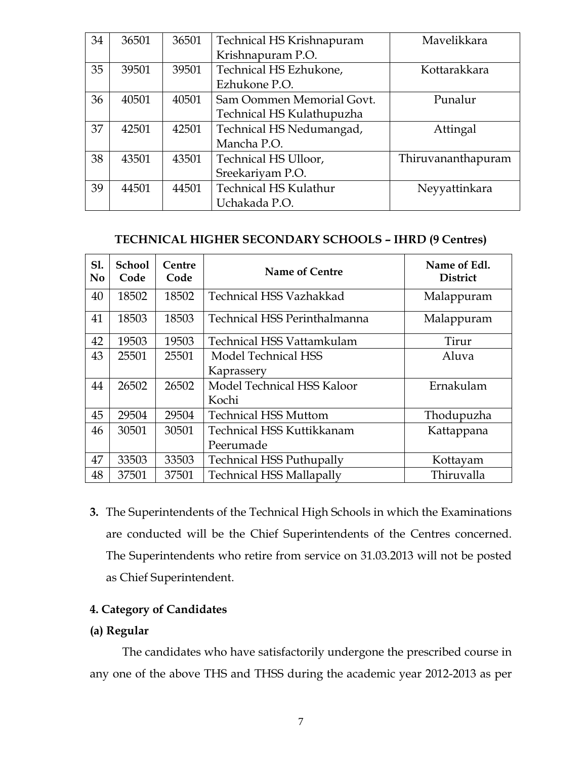| 34 | 36501 | 36501 | Technical HS Krishnapuram    | Mavelikkara        |
|----|-------|-------|------------------------------|--------------------|
|    |       |       | Krishnapuram P.O.            |                    |
| 35 | 39501 | 39501 | Technical HS Ezhukone,       | Kottarakkara       |
|    |       |       | Ezhukone P.O.                |                    |
| 36 | 40501 | 40501 | Sam Oommen Memorial Govt.    | Punalur            |
|    |       |       | Technical HS Kulathupuzha    |                    |
| 37 | 42501 | 42501 | Technical HS Nedumangad,     | Attingal           |
|    |       |       | Mancha P.O.                  |                    |
| 38 | 43501 | 43501 | Technical HS Ulloor,         | Thiruvananthapuram |
|    |       |       | Sreekariyam P.O.             |                    |
| 39 | 44501 | 44501 | <b>Technical HS Kulathur</b> | Neyyattinkara      |
|    |       |       | Uchakada P.O.                |                    |

#### **TECHNICAL HIGHER SECONDARY SCHOOLS – IHRD (9 Centres)**

| S1.<br>N <sub>0</sub> | <b>School</b><br>Code | Centre<br>Code | Name of Centre                   | Name of Edl.<br><b>District</b> |
|-----------------------|-----------------------|----------------|----------------------------------|---------------------------------|
| 40                    | 18502                 | 18502          | <b>Technical HSS Vazhakkad</b>   | Malappuram                      |
| 41                    | 18503                 | 18503          | Technical HSS Perinthalmanna     | Malappuram                      |
| 42                    | 19503                 | 19503          | Technical HSS Vattamkulam        | Tirur                           |
| 43                    | 25501                 | 25501          | Model Technical HSS              | Aluva                           |
|                       |                       |                | Kaprassery                       |                                 |
| 44                    | 26502                 | 26502          | Model Technical HSS Kaloor       | Ernakulam                       |
|                       |                       |                | Kochi                            |                                 |
| 45                    | 29504                 | 29504          | <b>Technical HSS Muttom</b>      | Thodupuzha                      |
| 46                    | 30501                 | 30501          | <b>Technical HSS Kuttikkanam</b> | Kattappana                      |
|                       |                       |                | Peerumade                        |                                 |
| 47                    | 33503                 | 33503          | <b>Technical HSS Puthupally</b>  | Kottayam                        |
| 48                    | 37501                 | 37501          | <b>Technical HSS Mallapally</b>  | Thiruvalla                      |

**3.** The Superintendents of the Technical High Schools in which the Examinations are conducted will be the Chief Superintendents of the Centres concerned. The Superintendents who retire from service on 31.03.2013 will not be posted as Chief Superintendent.

#### **4. Category of Candidates**

#### **(a) Regular**

The candidates who have satisfactorily undergone the prescribed course in any one of the above THS and THSS during the academic year 2012-2013 as per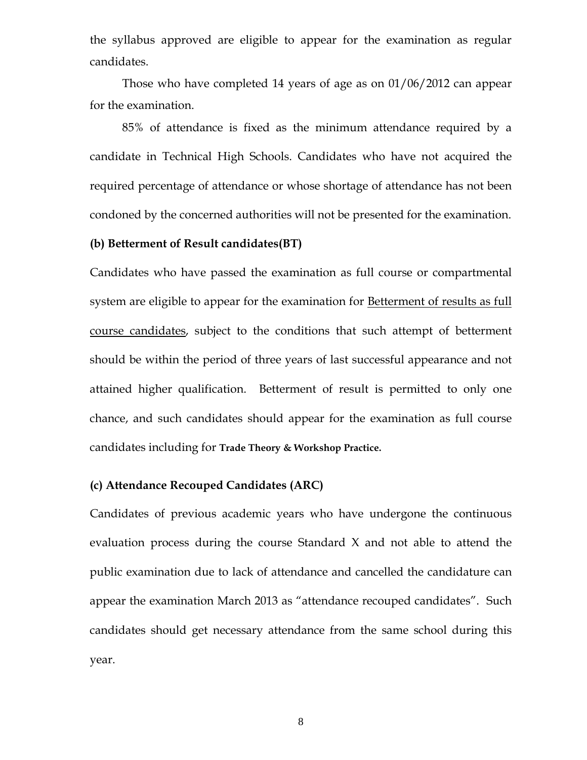the syllabus approved are eligible to appear for the examination as regular candidates.

Those who have completed 14 years of age as on 01/06/2012 can appear for the examination.

85% of attendance is fixed as the minimum attendance required by a candidate in Technical High Schools. Candidates who have not acquired the required percentage of attendance or whose shortage of attendance has not been condoned by the concerned authorities will not be presented for the examination.

#### **(b) Betterment of Result candidates(BT)**

Candidates who have passed the examination as full course or compartmental system are eligible to appear for the examination for Betterment of results as full course candidates, subject to the conditions that such attempt of betterment should be within the period of three years of last successful appearance and not attained higher qualification. Betterment of result is permitted to only one chance, and such candidates should appear for the examination as full course candidates including for **Trade Theory & Workshop Practice.** 

#### **(c) Attendance Recouped Candidates (ARC)**

Candidates of previous academic years who have undergone the continuous evaluation process during the course Standard X and not able to attend the public examination due to lack of attendance and cancelled the candidature can appear the examination March 2013 as "attendance recouped candidates". Such candidates should get necessary attendance from the same school during this year.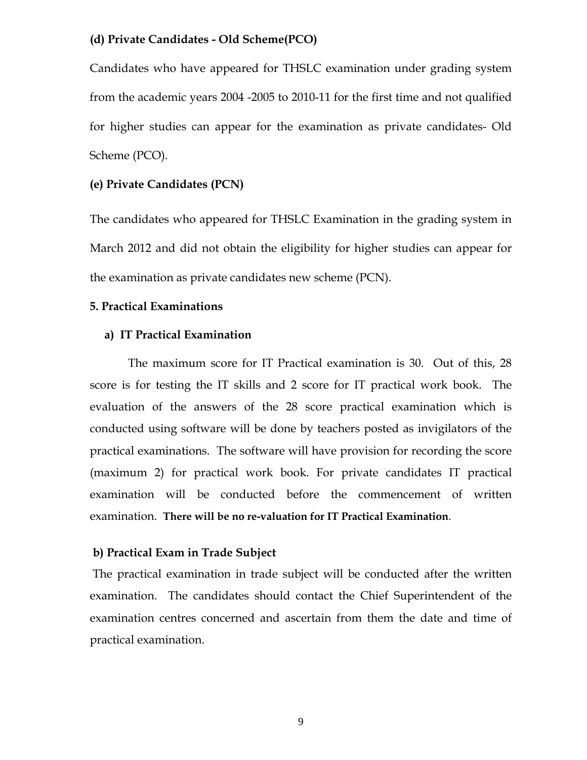#### **(d) Private Candidates - Old Scheme(PCO)**

Candidates who have appeared for THSLC examination under grading system from the academic years 2004 -2005 to 2010-11 for the first time and not qualified for higher studies can appear for the examination as private candidates- Old Scheme (PCO).

#### **(e) Private Candidates (PCN)**

The candidates who appeared for THSLC Examination in the grading system in March 2012 and did not obtain the eligibility for higher studies can appear for the examination as private candidates new scheme (PCN).

#### **5. Practical Examinations**

#### **a) IT Practical Examination**

 The maximum score for IT Practical examination is 30. Out of this, 28 score is for testing the IT skills and 2 score for IT practical work book. The evaluation of the answers of the 28 score practical examination which is conducted using software will be done by teachers posted as invigilators of the practical examinations. The software will have provision for recording the score (maximum 2) for practical work book. For private candidates IT practical examination will be conducted before the commencement of written examination. **There will be no re-valuation for IT Practical Examination**.

#### **b) Practical Exam in Trade Subject**

 The practical examination in trade subject will be conducted after the written examination. The candidates should contact the Chief Superintendent of the examination centres concerned and ascertain from them the date and time of practical examination.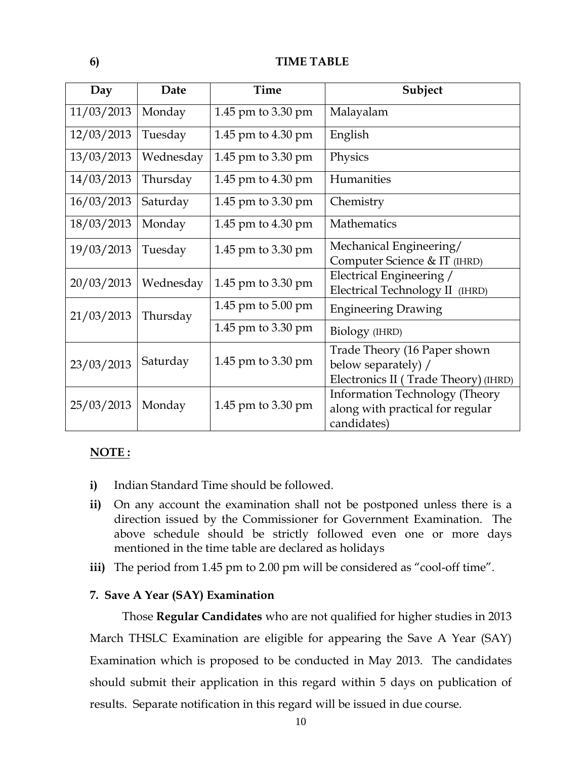#### **6) TIME TABLE**

| Day        | Date      | Time                   | Subject                                                                                     |
|------------|-----------|------------------------|---------------------------------------------------------------------------------------------|
| 11/03/2013 | Monday    | 1.45 pm to 3.30 pm     | Malayalam                                                                                   |
| 12/03/2013 | Tuesday   | 1.45 pm to 4.30 pm     | English                                                                                     |
| 13/03/2013 | Wednesday | 1.45 pm to $3.30$ pm   | Physics                                                                                     |
| 14/03/2013 | Thursday  | 1.45 pm to 4.30 pm     | Humanities                                                                                  |
| 16/03/2013 | Saturday  | 1.45 pm to 3.30 pm     | Chemistry                                                                                   |
| 18/03/2013 | Monday    | 1.45 pm to $4.30$ pm   | Mathematics                                                                                 |
| 19/03/2013 | Tuesday   | 1.45 pm to $3.30$ pm   | Mechanical Engineering/<br>Computer Science & IT (IHRD)                                     |
| 20/03/2013 | Wednesday | 1.45 pm to 3.30 pm     | Electrical Engineering /<br>Electrical Technology II (IHRD)                                 |
| 21/03/2013 | Thursday  | 1.45 pm to 5.00 pm     | <b>Engineering Drawing</b>                                                                  |
|            |           | 1.45 pm to 3.30 pm     | Biology (IHRD)                                                                              |
| 23/03/2013 | Saturday  | $1.45$ pm to $3.30$ pm | Trade Theory (16 Paper shown<br>below separately) /<br>Electronics II (Trade Theory) (IHRD) |
| 25/03/2013 | Monday    | $1.45$ pm to $3.30$ pm | Information Technology (Theory<br>along with practical for regular<br>candidates)           |

#### **NOTE :**

- **i)** Indian Standard Time should be followed.
- **ii)** On any account the examination shall not be postponed unless there is a direction issued by the Commissioner for Government Examination. The above schedule should be strictly followed even one or more days mentioned in the time table are declared as holidays
- **iii)** The period from 1.45 pm to 2.00 pm will be considered as "cool-off time".

#### **7. Save A Year (SAY) Examination**

Those **Regular Candidates** who are not qualified for higher studies in 2013 March THSLC Examination are eligible for appearing the Save A Year (SAY) Examination which is proposed to be conducted in May 2013. The candidates should submit their application in this regard within 5 days on publication of results. Separate notification in this regard will be issued in due course.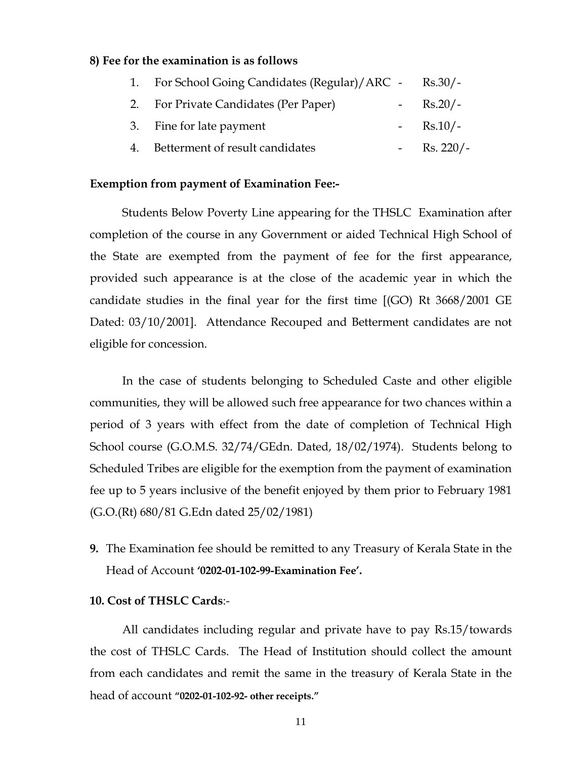#### **8) Fee for the examination is as follows**

| 1. For School Going Candidates (Regular)/ARC - | $Rs.30/-$          |
|------------------------------------------------|--------------------|
| 2. For Private Candidates (Per Paper)          | - $\text{Rs.}20/-$ |
| 3. Fine for late payment                       | - $\text{Rs.}10/-$ |
| 4. Betterment of result candidates             | - Rs. $220/-$      |

#### **Exemption from payment of Examination Fee:-**

Students Below Poverty Line appearing for the THSLC Examination after completion of the course in any Government or aided Technical High School of the State are exempted from the payment of fee for the first appearance, provided such appearance is at the close of the academic year in which the candidate studies in the final year for the first time [(GO) Rt 3668/2001 GE Dated: 03/10/2001]. Attendance Recouped and Betterment candidates are not eligible for concession.

 In the case of students belonging to Scheduled Caste and other eligible communities, they will be allowed such free appearance for two chances within a period of 3 years with effect from the date of completion of Technical High School course (G.O.M.S. 32/74/GEdn. Dated, 18/02/1974). Students belong to Scheduled Tribes are eligible for the exemption from the payment of examination fee up to 5 years inclusive of the benefit enjoyed by them prior to February 1981 (G.O.(Rt) 680/81 G.Edn dated 25/02/1981)

**9.** The Examination fee should be remitted to any Treasury of Kerala State in the Head of Account **'0202-01-102-99-Examination Fee'.** 

#### **10. Cost of THSLC Cards**:-

All candidates including regular and private have to pay Rs.15/towards the cost of THSLC Cards. The Head of Institution should collect the amount from each candidates and remit the same in the treasury of Kerala State in the head of account **"0202-01-102-92- other receipts."**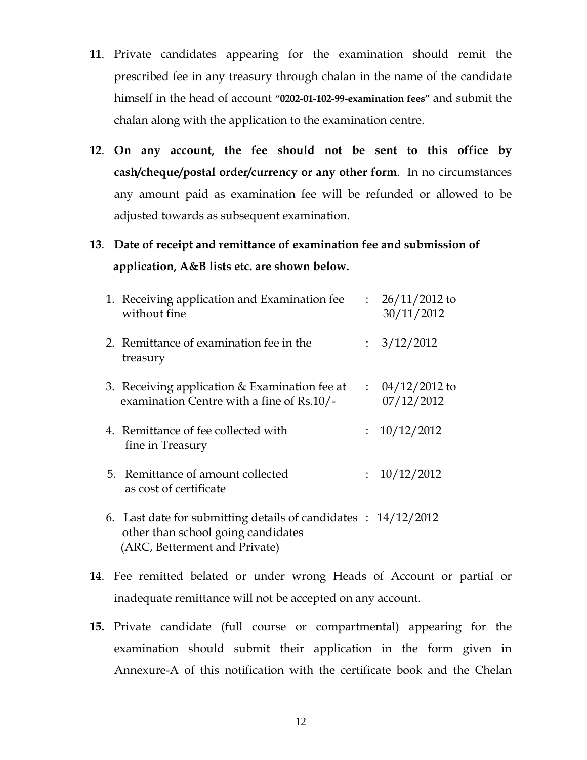- **11**. Private candidates appearing for the examination should remit the prescribed fee in any treasury through chalan in the name of the candidate himself in the head of account **"0202-01-102-99-examination fees"** and submit the chalan along with the application to the examination centre.
- **12**. **On any account, the fee should not be sent to this office by cash/cheque/postal order/currency or any other form**. In no circumstances any amount paid as examination fee will be refunded or allowed to be adjusted towards as subsequent examination.
- **13**. **Date of receipt and remittance of examination fee and submission of application, A&B lists etc. are shown below.**

|  | 1. Receiving application and Examination fee<br>without fine                                                                                     | $\mathbb{R}^{\mathbb{Z}}$ | $26/11/2012$ to<br>30/11/2012            |
|--|--------------------------------------------------------------------------------------------------------------------------------------------------|---------------------------|------------------------------------------|
|  | 2. Remittance of examination fee in the<br>treasury                                                                                              | $\mathbb{R}^{\mathbb{Z}}$ | 3/12/2012                                |
|  | 3. Receiving application & Examination fee at<br>examination Centre with a fine of Rs.10/-                                                       |                           | $\therefore$ 04/12/2012 to<br>07/12/2012 |
|  | 4. Remittance of fee collected with<br>fine in Treasury                                                                                          | $\mathbb{R}^{\mathbb{Z}}$ | 10/12/2012                               |
|  | 5. Remittance of amount collected<br>as cost of certificate                                                                                      | $\mathbb{R}^{\mathbb{Z}}$ | 10/12/2012                               |
|  | 6. Last date for submitting details of candidates $\therefore$ 14/12/2012<br>other than school going candidates<br>(ARC, Betterment and Private) |                           |                                          |

- **14**. Fee remitted belated or under wrong Heads of Account or partial or inadequate remittance will not be accepted on any account.
- **15.** Private candidate (full course or compartmental) appearing for the examination should submit their application in the form given in Annexure-A of this notification with the certificate book and the Chelan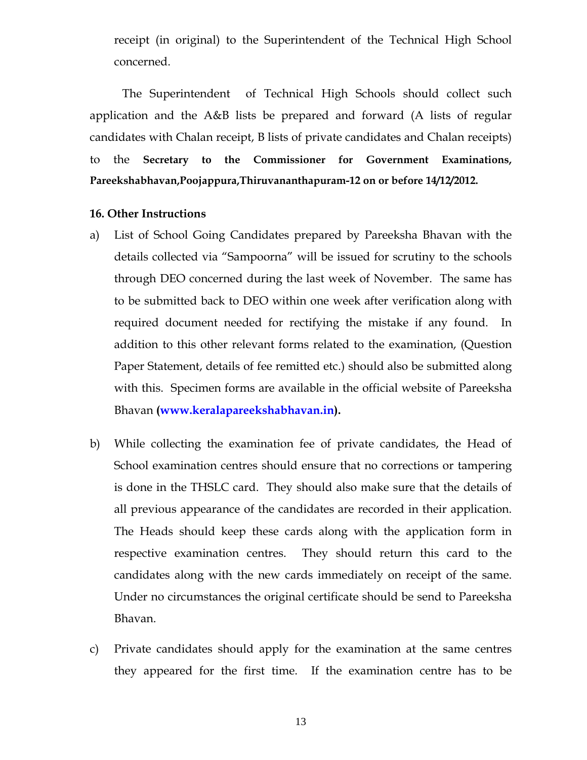receipt (in original) to the Superintendent of the Technical High School concerned.

The Superintendent of Technical High Schools should collect such application and the A&B lists be prepared and forward (A lists of regular candidates with Chalan receipt, B lists of private candidates and Chalan receipts) to the **Secretary to the Commissioner for Government Examinations, Pareekshabhavan,Poojappura,Thiruvananthapuram-12 on or before 14/12/2012.** 

#### **16. Other Instructions**

- a)List of School Going Candidates prepared by Pareeksha Bhavan with the details collected via "Sampoorna" will be issued for scrutiny to the schools through DEO concerned during the last week of November. The same has to be submitted back to DEO within one week after verification along with required document needed for rectifying the mistake if any found. In addition to this other relevant forms related to the examination, (Question Paper Statement, details of fee remitted etc.) should also be submitted along with this. Specimen forms are available in the official website of Pareeksha Bhavan **(www.keralapareekshabhavan.in).**
- b)While collecting the examination fee of private candidates, the Head of School examination centres should ensure that no corrections or tampering is done in the THSLC card. They should also make sure that the details of all previous appearance of the candidates are recorded in their application. The Heads should keep these cards along with the application form in respective examination centres. They should return this card to the candidates along with the new cards immediately on receipt of the same. Under no circumstances the original certificate should be send to Pareeksha Bhavan.
- c) Private candidates should apply for the examination at the same centres they appeared for the first time. If the examination centre has to be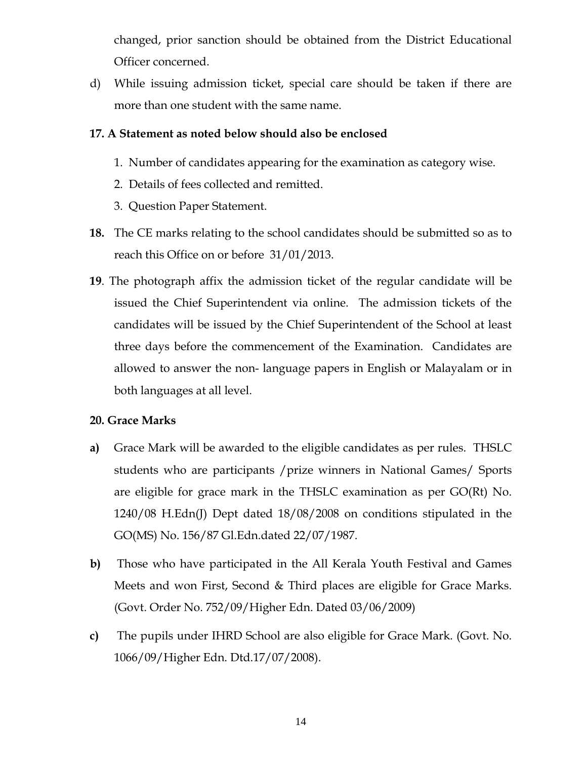changed, prior sanction should be obtained from the District Educational Officer concerned.

d) While issuing admission ticket, special care should be taken if there are more than one student with the same name.

#### **17. A Statement as noted below should also be enclosed**

- 1. Number of candidates appearing for the examination as category wise.
- 2. Details of fees collected and remitted.
- 3. Question Paper Statement.
- **18.** The CE marks relating to the school candidates should be submitted so as to reach this Office on or before 31/01/2013.
- **19**. The photograph affix the admission ticket of the regular candidate will be issued the Chief Superintendent via online. The admission tickets of the candidates will be issued by the Chief Superintendent of the School at least three days before the commencement of the Examination. Candidates are allowed to answer the non- language papers in English or Malayalam or in both languages at all level.

#### **20. Grace Marks**

- **a)** Grace Mark will be awarded to the eligible candidates as per rules. THSLC students who are participants /prize winners in National Games/ Sports are eligible for grace mark in the THSLC examination as per GO(Rt) No. 1240/08 H.Edn(J) Dept dated 18/08/2008 on conditions stipulated in the GO(MS) No. 156/87 Gl.Edn.dated 22/07/1987.
- **b)** Those who have participated in the All Kerala Youth Festival and Games Meets and won First, Second & Third places are eligible for Grace Marks. (Govt. Order No. 752/09/Higher Edn. Dated 03/06/2009)
- **c)** The pupils under IHRD School are also eligible for Grace Mark. (Govt. No. 1066/09/Higher Edn. Dtd.17/07/2008).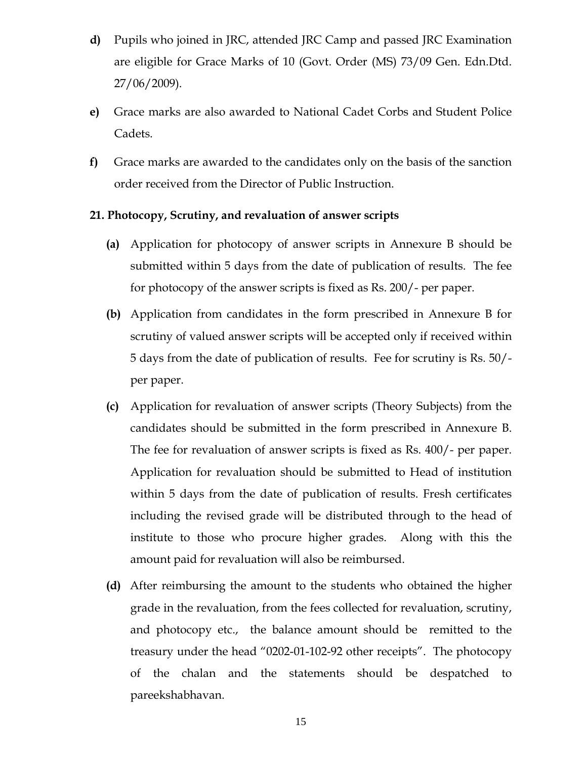- **d)** Pupils who joined in JRC, attended JRC Camp and passed JRC Examination are eligible for Grace Marks of 10 (Govt. Order (MS) 73/09 Gen. Edn.Dtd. 27/06/2009).
- **e)** Grace marks are also awarded to National Cadet Corbs and Student Police Cadets.
- **f)** Grace marks are awarded to the candidates only on the basis of the sanction order received from the Director of Public Instruction.

#### **21. Photocopy, Scrutiny, and revaluation of answer scripts**

- **(a)** Application for photocopy of answer scripts in Annexure B should be submitted within 5 days from the date of publication of results. The fee for photocopy of the answer scripts is fixed as Rs. 200/- per paper.
- **(b)** Application from candidates in the form prescribed in Annexure B for scrutiny of valued answer scripts will be accepted only if received within 5 days from the date of publication of results. Fee for scrutiny is Rs. 50/ per paper.
- **(c)** Application for revaluation of answer scripts (Theory Subjects) from the candidates should be submitted in the form prescribed in Annexure B. The fee for revaluation of answer scripts is fixed as Rs. 400/- per paper. Application for revaluation should be submitted to Head of institution within 5 days from the date of publication of results. Fresh certificates including the revised grade will be distributed through to the head of institute to those who procure higher grades. Along with this the amount paid for revaluation will also be reimbursed.
- **(d)** After reimbursing the amount to the students who obtained the higher grade in the revaluation, from the fees collected for revaluation, scrutiny, and photocopy etc., the balance amount should be remitted to the treasury under the head "0202-01-102-92 other receipts". The photocopy of the chalan and the statements should be despatched to pareekshabhavan.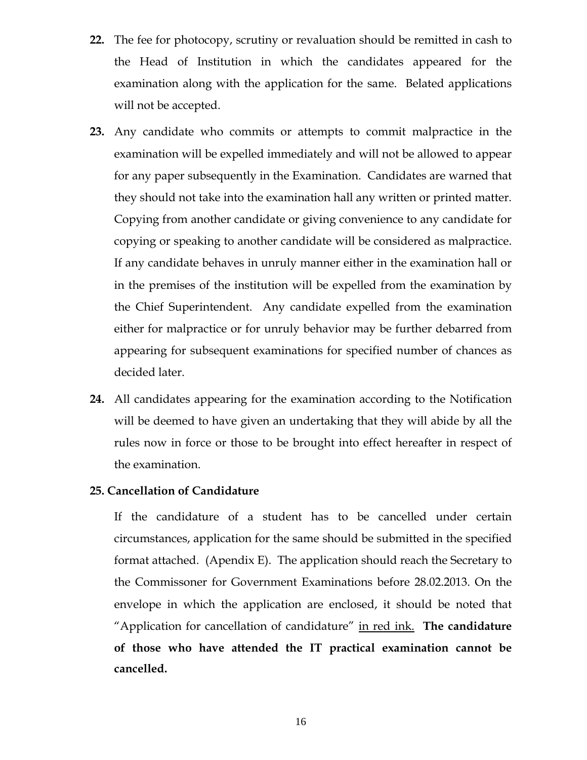- **22.** The fee for photocopy, scrutiny or revaluation should be remitted in cash to the Head of Institution in which the candidates appeared for the examination along with the application for the same. Belated applications will not be accepted.
- **23.** Any candidate who commits or attempts to commit malpractice in the examination will be expelled immediately and will not be allowed to appear for any paper subsequently in the Examination. Candidates are warned that they should not take into the examination hall any written or printed matter. Copying from another candidate or giving convenience to any candidate for copying or speaking to another candidate will be considered as malpractice. If any candidate behaves in unruly manner either in the examination hall or in the premises of the institution will be expelled from the examination by the Chief Superintendent. Any candidate expelled from the examination either for malpractice or for unruly behavior may be further debarred from appearing for subsequent examinations for specified number of chances as decided later.
- **24.** All candidates appearing for the examination according to the Notification will be deemed to have given an undertaking that they will abide by all the rules now in force or those to be brought into effect hereafter in respect of the examination.

#### **25. Cancellation of Candidature**

 If the candidature of a student has to be cancelled under certain circumstances, application for the same should be submitted in the specified format attached. (Apendix E). The application should reach the Secretary to the Commissoner for Government Examinations before 28.02.2013. On the envelope in which the application are enclosed, it should be noted that "Application for cancellation of candidature" in red ink. **The candidature of those who have attended the IT practical examination cannot be cancelled.**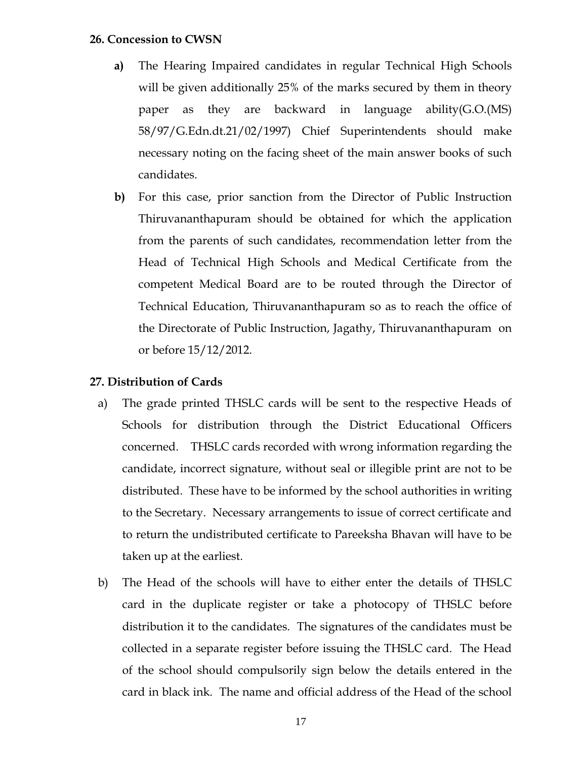#### **26. Concession to CWSN**

- **a)** The Hearing Impaired candidates in regular Technical High Schools will be given additionally 25% of the marks secured by them in theory paper as they are backward in language ability(G.O.(MS) 58/97/G.Edn.dt.21/02/1997) Chief Superintendents should make necessary noting on the facing sheet of the main answer books of such candidates.
- **b)** For this case, prior sanction from the Director of Public Instruction Thiruvananthapuram should be obtained for which the application from the parents of such candidates, recommendation letter from the Head of Technical High Schools and Medical Certificate from the competent Medical Board are to be routed through the Director of Technical Education, Thiruvananthapuram so as to reach the office of the Directorate of Public Instruction, Jagathy, Thiruvananthapuram on or before 15/12/2012.

#### **27. Distribution of Cards**

- a) The grade printed THSLC cards will be sent to the respective Heads of Schools for distribution through the District Educational Officers concerned. THSLC cards recorded with wrong information regarding the candidate, incorrect signature, without seal or illegible print are not to be distributed. These have to be informed by the school authorities in writing to the Secretary. Necessary arrangements to issue of correct certificate and to return the undistributed certificate to Pareeksha Bhavan will have to be taken up at the earliest.
- b) The Head of the schools will have to either enter the details of THSLC card in the duplicate register or take a photocopy of THSLC before distribution it to the candidates. The signatures of the candidates must be collected in a separate register before issuing the THSLC card. The Head of the school should compulsorily sign below the details entered in the card in black ink. The name and official address of the Head of the school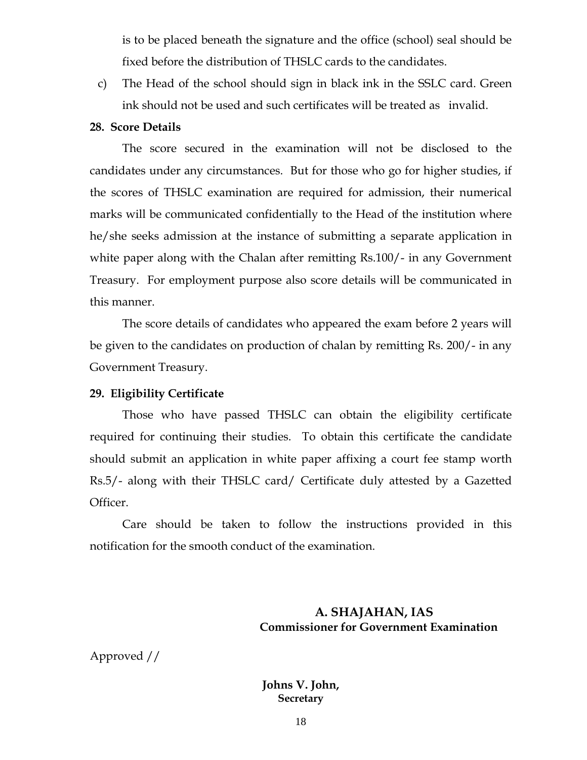is to be placed beneath the signature and the office (school) seal should be fixed before the distribution of THSLC cards to the candidates.

c) The Head of the school should sign in black ink in the SSLC card. Green ink should not be used and such certificates will be treated as invalid.

#### **28. Score Details**

 The score secured in the examination will not be disclosed to the candidates under any circumstances. But for those who go for higher studies, if the scores of THSLC examination are required for admission, their numerical marks will be communicated confidentially to the Head of the institution where he/she seeks admission at the instance of submitting a separate application in white paper along with the Chalan after remitting Rs.100/- in any Government Treasury. For employment purpose also score details will be communicated in this manner.

The score details of candidates who appeared the exam before 2 years will be given to the candidates on production of chalan by remitting Rs. 200/- in any Government Treasury.

#### **29. Eligibility Certificate**

 Those who have passed THSLC can obtain the eligibility certificate required for continuing their studies. To obtain this certificate the candidate should submit an application in white paper affixing a court fee stamp worth Rs.5/- along with their THSLC card/ Certificate duly attested by a Gazetted Officer.

 Care should be taken to follow the instructions provided in this notification for the smooth conduct of the examination.

#### **A. SHAJAHAN, IAS Commissioner for Government Examination**

Approved //

#### **Johns V. John, Secretary**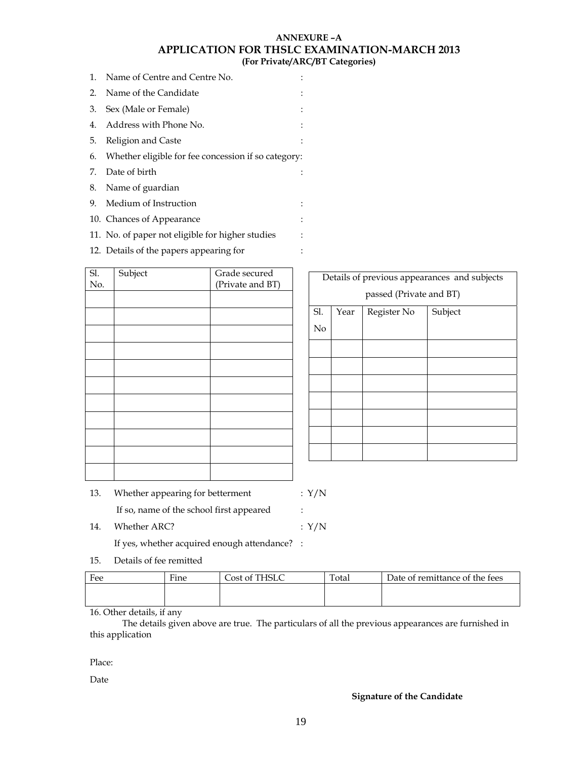#### **ANNEXURE –A APPLICATION FOR THSLC EXAMINATION-MARCH 2013 (For Private/ARC/BT Categories)**

- 1. Name of Centre and Centre No. : 2. Name of the Candidate : 3. Sex (Male or Female) : 4. Address with Phone No. : 5. Religion and Caste : 6. Whether eligible for fee concession if so category: 7. Date of birth : 8. Name of guardian
- 9. Medium of Instruction :
- 10. Chances of Appearance :
- 11. No. of paper not eligible for higher studies :
- 12. Details of the papers appearing for :

| Sl.<br>No. | Subject | Grade secured<br>(Private and BT) |
|------------|---------|-----------------------------------|
|            |         |                                   |
|            |         |                                   |
|            |         |                                   |
|            |         |                                   |
|            |         |                                   |
|            |         |                                   |
|            |         |                                   |
|            |         |                                   |
|            |         |                                   |
|            |         |                                   |
|            |         |                                   |

| Details of previous appearances and subjects |                                |  |  |  |  |  |  |
|----------------------------------------------|--------------------------------|--|--|--|--|--|--|
|                                              | passed (Private and BT)        |  |  |  |  |  |  |
| Sl.                                          | Subject<br>Register No<br>Year |  |  |  |  |  |  |
| No                                           |                                |  |  |  |  |  |  |
|                                              |                                |  |  |  |  |  |  |
|                                              |                                |  |  |  |  |  |  |
|                                              |                                |  |  |  |  |  |  |
|                                              |                                |  |  |  |  |  |  |
|                                              |                                |  |  |  |  |  |  |
|                                              |                                |  |  |  |  |  |  |
|                                              |                                |  |  |  |  |  |  |

| 13. | Whether appearing for betterment         | : Y/N                |
|-----|------------------------------------------|----------------------|
|     | If so, name of the school first appeared | $\ddot{\phantom{a}}$ |
| 14. | Whether ARC?                             | : Y/N                |

If yes, whether acquired enough attendance? :

15. Details of fee remitted

| Fee | $\overline{\phantom{a}}$<br>Fine | Cost of THSLC | Total | Date of remittance of the fees |
|-----|----------------------------------|---------------|-------|--------------------------------|
|     |                                  |               |       |                                |
|     |                                  |               |       |                                |

16. Other details, if any

 The details given above are true. The particulars of all the previous appearances are furnished in this application

Place:

Date

#### **Signature of the Candidate**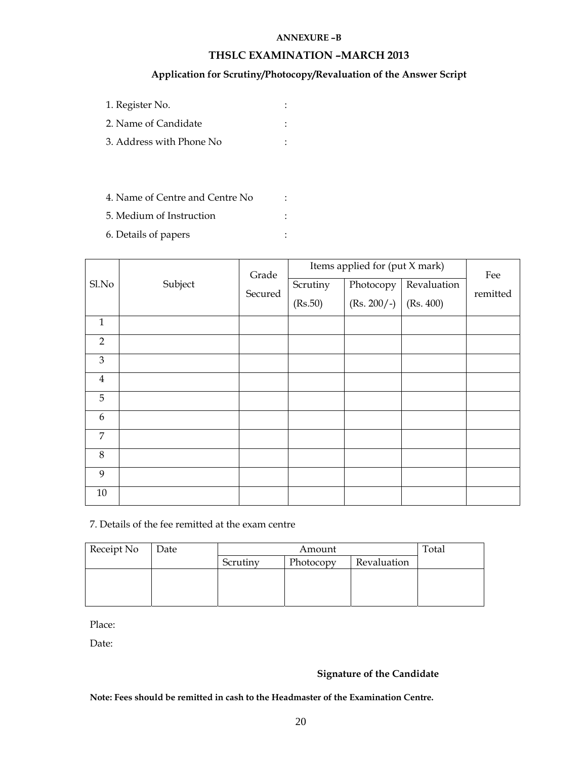#### **ANNEXURE –B**

#### **THSLC EXAMINATION –MARCH 2013**

#### **Application for Scrutiny/Photocopy/Revaluation of the Answer Script**

- 1. Register No. :
- 2. Name of Candidate :
- 3. Address with Phone No :
- 4. Name of Centre and Centre No :
- 5. Medium of Instruction :
- 6. Details of papers :

|                |         | Grade   | Items applied for (put X mark) |                                        |             | Fee      |
|----------------|---------|---------|--------------------------------|----------------------------------------|-------------|----------|
| Sl.No          | Subject | Secured | Scrutiny<br>(Rs.50)            | Photocopy  <br>$(Rs. 200/-)$ (Rs. 400) | Revaluation | remitted |
|                |         |         |                                |                                        |             |          |
| $\mathbf{1}$   |         |         |                                |                                        |             |          |
| $\overline{2}$ |         |         |                                |                                        |             |          |
| $\mathfrak{B}$ |         |         |                                |                                        |             |          |
| $\overline{4}$ |         |         |                                |                                        |             |          |
| 5              |         |         |                                |                                        |             |          |
| 6              |         |         |                                |                                        |             |          |
| 7              |         |         |                                |                                        |             |          |
| 8              |         |         |                                |                                        |             |          |
| 9              |         |         |                                |                                        |             |          |
| 10             |         |         |                                |                                        |             |          |

7. Details of the fee remitted at the exam centre

| Receipt No | Date | Amount                               |  |  | Total |
|------------|------|--------------------------------------|--|--|-------|
|            |      | Revaluation<br>Photocopy<br>Scrutiny |  |  |       |
|            |      |                                      |  |  |       |
|            |      |                                      |  |  |       |
|            |      |                                      |  |  |       |

Place:

Date:

#### **Signature of the Candidate**

**Note: Fees should be remitted in cash to the Headmaster of the Examination Centre.**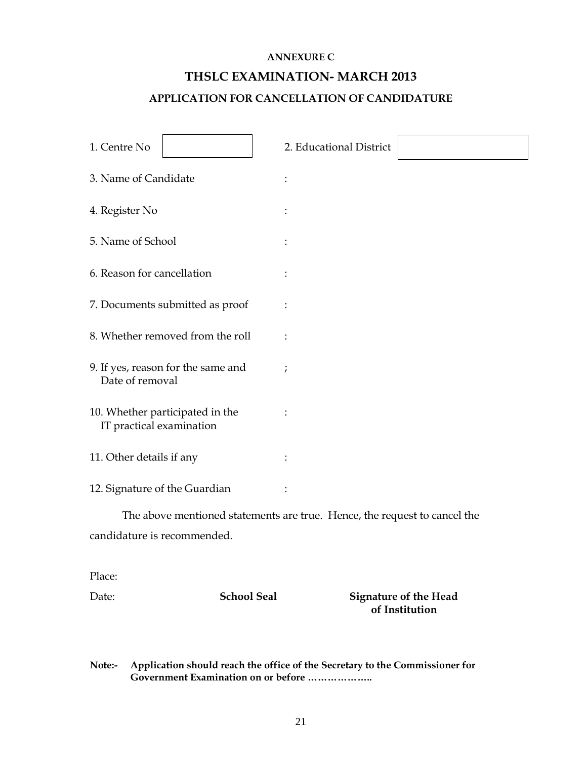#### **ANNEXURE C**

## **THSLC EXAMINATION- MARCH 2013**

#### **APPLICATION FOR CANCELLATION OF CANDIDATURE**

| 1. Centre No                  |                                                                           | 2. Educational District |                                                |
|-------------------------------|---------------------------------------------------------------------------|-------------------------|------------------------------------------------|
| 3. Name of Candidate          |                                                                           |                         |                                                |
| 4. Register No                |                                                                           |                         |                                                |
| 5. Name of School             |                                                                           |                         |                                                |
| 6. Reason for cancellation    |                                                                           |                         |                                                |
|                               | 7. Documents submitted as proof                                           |                         |                                                |
|                               | 8. Whether removed from the roll                                          |                         |                                                |
| Date of removal               | 9. If yes, reason for the same and                                        | $\cdot$                 |                                                |
| IT practical examination      | 10. Whether participated in the                                           |                         |                                                |
| 11. Other details if any      |                                                                           |                         |                                                |
| 12. Signature of the Guardian |                                                                           |                         |                                                |
|                               | The above mentioned statements are true. Hence, the request to cancel the |                         |                                                |
| candidature is recommended.   |                                                                           |                         |                                                |
| Place:                        |                                                                           |                         |                                                |
| Date:                         | <b>School Seal</b>                                                        |                         | <b>Signature of the Head</b><br>of Institution |

**Note:- Application should reach the office of the Secretary to the Commissioner for Government Examination on or before ………………..**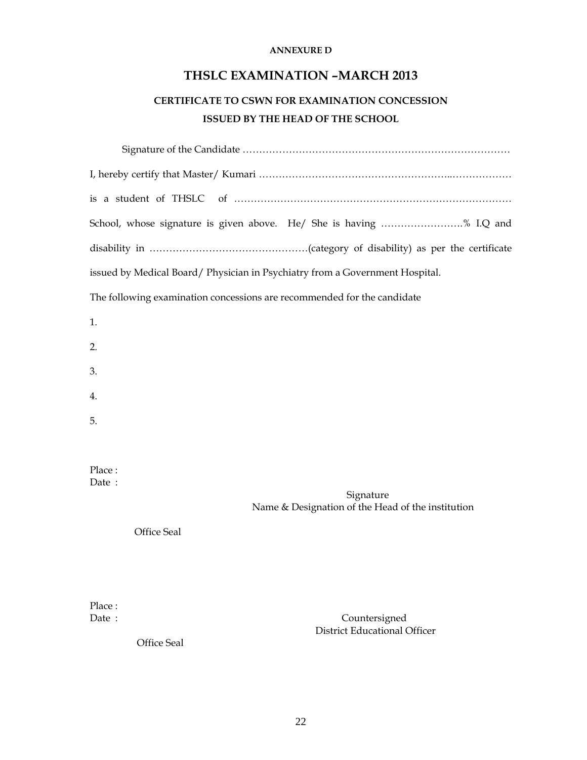#### **ANNEXURE D**

### **THSLC EXAMINATION –MARCH 2013**

## **CERTIFICATE TO CSWN FOR EXAMINATION CONCESSION ISSUED BY THE HEAD OF THE SCHOOL**

| School, whose signature is given above. He/ She is having % I.Q and               |
|-----------------------------------------------------------------------------------|
|                                                                                   |
| issued by Medical Board/ Physician in Psychiatry from a Government Hospital.      |
| The following examination concessions are recommended for the candidate           |
| 1.                                                                                |
| 2.                                                                                |
| 3.                                                                                |
| 4.                                                                                |
| 5.                                                                                |
|                                                                                   |
| Place:<br>Date:<br>Signature<br>Name & Designation of the Head of the institution |
| Office Seal                                                                       |
|                                                                                   |
|                                                                                   |
| Place:<br>Date:<br>Countersigned                                                  |

Office Seal

District Educational Officer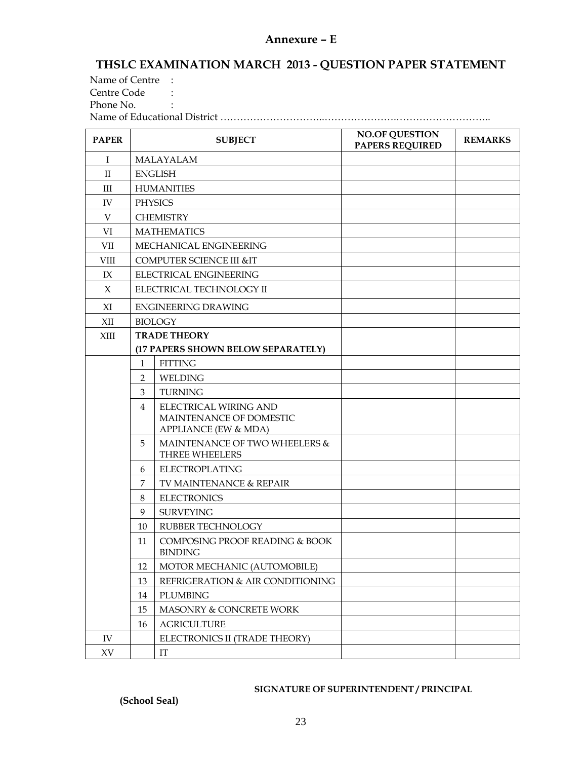#### **Annexure – E**

### **THSLC EXAMINATION MARCH 2013 - QUESTION PAPER STATEMENT**

Name of Centre : Centre Code : Phone No. Name of Educational District …………………………..………………….………………………..

| <b>PAPER</b>           | <b>SUBJECT</b>                         |                                                                          | <b>NO.OF QUESTION</b><br><b>PAPERS REQUIRED</b> | <b>REMARKS</b> |
|------------------------|----------------------------------------|--------------------------------------------------------------------------|-------------------------------------------------|----------------|
| Ι                      |                                        | MALAYALAM                                                                |                                                 |                |
| $\mathbf{H}$           |                                        | <b>ENGLISH</b>                                                           |                                                 |                |
| III                    |                                        | <b>HUMANITIES</b>                                                        |                                                 |                |
| IV                     |                                        | <b>PHYSICS</b>                                                           |                                                 |                |
| V                      |                                        | <b>CHEMISTRY</b>                                                         |                                                 |                |
| VI                     |                                        | <b>MATHEMATICS</b>                                                       |                                                 |                |
| <b>VII</b>             |                                        | MECHANICAL ENGINEERING                                                   |                                                 |                |
| <b>VIII</b>            |                                        | <b>COMPUTER SCIENCE III &amp;IT</b>                                      |                                                 |                |
| IX                     |                                        | ELECTRICAL ENGINEERING                                                   |                                                 |                |
| X                      |                                        | ELECTRICAL TECHNOLOGY II                                                 |                                                 |                |
| XI                     |                                        | <b>ENGINEERING DRAWING</b>                                               |                                                 |                |
| XII                    |                                        | <b>BIOLOGY</b>                                                           |                                                 |                |
| XIII                   |                                        | <b>TRADE THEORY</b>                                                      |                                                 |                |
|                        |                                        | (17 PAPERS SHOWN BELOW SEPARATELY)                                       |                                                 |                |
|                        | $\mathbf{1}$                           | <b>FITTING</b>                                                           |                                                 |                |
|                        | $\overline{2}$                         | <b>WELDING</b>                                                           |                                                 |                |
|                        | 3<br><b>TURNING</b>                    |                                                                          |                                                 |                |
|                        | 4                                      | ELECTRICAL WIRING AND<br>MAINTENANCE OF DOMESTIC<br>APPLIANCE (EW & MDA) |                                                 |                |
|                        | 5                                      | MAINTENANCE OF TWO WHEELERS &<br>THREE WHEELERS                          |                                                 |                |
|                        | 6                                      | <b>ELECTROPLATING</b>                                                    |                                                 |                |
|                        | 7                                      | TV MAINTENANCE & REPAIR                                                  |                                                 |                |
|                        | 8                                      | <b>ELECTRONICS</b>                                                       |                                                 |                |
|                        | 9                                      | <b>SURVEYING</b>                                                         |                                                 |                |
|                        | 10                                     | RUBBER TECHNOLOGY                                                        |                                                 |                |
| 11                     |                                        | COMPOSING PROOF READING & BOOK<br><b>BINDING</b>                         |                                                 |                |
|                        | 12<br>MOTOR MECHANIC (AUTOMOBILE)      |                                                                          |                                                 |                |
|                        | REFRIGERATION & AIR CONDITIONING<br>13 |                                                                          |                                                 |                |
|                        | PLUMBING<br>14                         |                                                                          |                                                 |                |
|                        | 15                                     | MASONRY & CONCRETE WORK                                                  |                                                 |                |
|                        | 16                                     | <b>AGRICULTURE</b>                                                       |                                                 |                |
| IV                     |                                        | ELECTRONICS II (TRADE THEORY)                                            |                                                 |                |
| $\mathbf{X}\mathbf{V}$ |                                        | $\mathop{\text{IT}}$                                                     |                                                 |                |

#### **SIGNATURE OF SUPERINTENDENT / PRINCIPAL**

 **(School Seal)**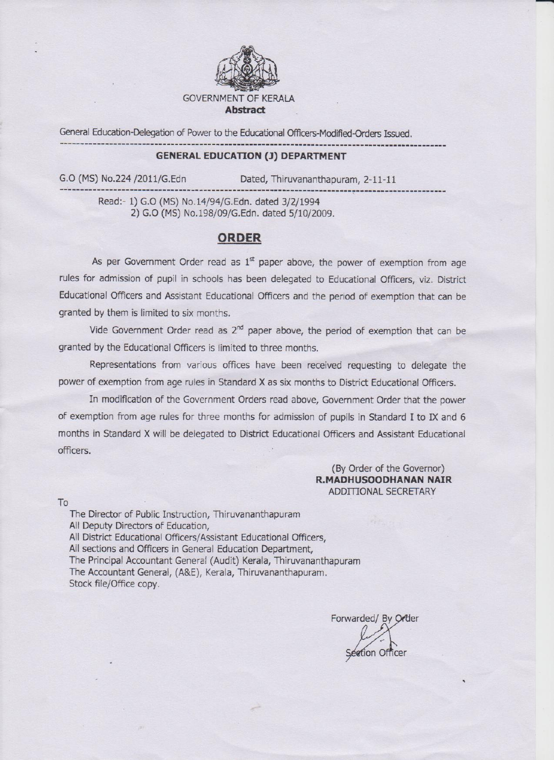

General Education-Delegation of Power to the Educational Officers-Modified-Orders Issued.

#### **GENERAL EDUCATION (J) DEPARTMENT**

G.O (MS) No.224 /2011/G.Edn

Dated, Thiruvananthapuram, 2-11-11

Read:- 1) G.O (MS) No.14/94/G.Edn. dated 3/2/1994 2) G.O (MS) No.198/09/G.Edn. dated 5/10/2009.

#### **ORDER**

As per Government Order read as  $1<sup>st</sup>$  paper above, the power of exemption from age rules for admission of pupil in schools has been delegated to Educational Officers, viz. District Educational Officers and Assistant Educational Officers and the period of exemption that can be granted by them is limited to six months.

Vide Government Order read as  $2^{nd}$  paper above, the period of exemption that can be granted by the Educational Officers is limited to three months.

Representations from various offices have been received requesting to delegate the power of exemption from age rules in Standard X as six months to District Educational Officers.

In modification of the Government Orders read above, Government Order that the power of exemption from age rules for three months for admission of pupils in Standard I to IX and 6 months in Standard X will be delegated to District Educational Officers and Assistant Educational officers.

> (By Order of the Governor) R.MADHUSOODHANAN NAIR ADDITIONAL SECRETARY

To

The Director of Public Instruction, Thiruvananthapuram All Deputy Directors of Education, All District Educational Officers/Assistant Educational Officers, All sections and Officers in General Education Department, The Principal Accountant General (Audit) Kerala, Thiruvananthapuram The Accountant General, (A&E), Kerala, Thiruvananthapuram. Stock file/Office copy.

Forwarded/ By Order Section Officer